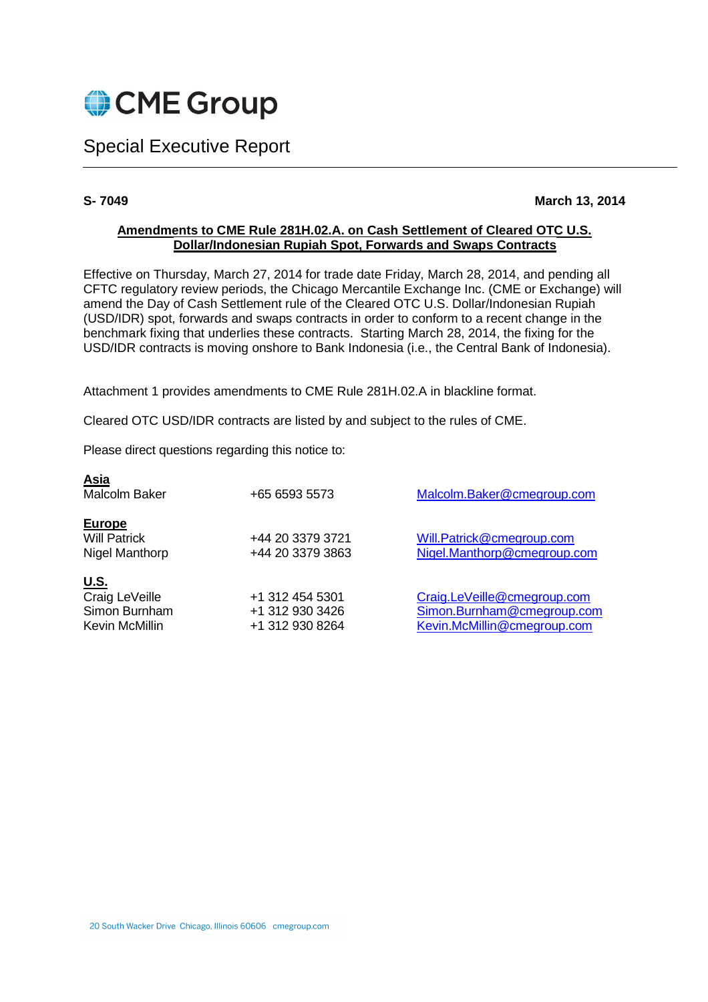

Special Executive Report

## **S- 7049 March 13, 2014**

## **Amendments to CME Rule 281H.02.A. on Cash Settlement of Cleared OTC U.S. Dollar/Indonesian Rupiah Spot, Forwards and Swaps Contracts**

Effective on Thursday, March 27, 2014 for trade date Friday, March 28, 2014, and pending all CFTC regulatory review periods, the Chicago Mercantile Exchange Inc. (CME or Exchange) will amend the Day of Cash Settlement rule of the Cleared OTC U.S. Dollar/Indonesian Rupiah (USD/IDR) spot, forwards and swaps contracts in order to conform to a recent change in the benchmark fixing that underlies these contracts. Starting March 28, 2014, the fixing for the USD/IDR contracts is moving onshore to Bank Indonesia (i.e., the Central Bank of Indonesia).

Attachment 1 provides amendments to CME Rule 281H.02.A in blackline format.

Cleared OTC USD/IDR contracts are listed by and subject to the rules of CME.

Please direct questions regarding this notice to:

| <u>Asia</u><br>Malcolm Baker                                     | +65 6593 5573                                         | Malcolm.Baker@cmegroup.com                                                               |
|------------------------------------------------------------------|-------------------------------------------------------|------------------------------------------------------------------------------------------|
| Europe<br><b>Will Patrick</b><br>Nigel Manthorp                  | +44 20 3379 3721<br>+44 20 3379 3863                  | Will.Patrick@cmegroup.com<br>Nigel.Manthorp@cmegroup.com                                 |
| <u>U.S.</u><br>Craig LeVeille<br>Simon Burnham<br>Kevin McMillin | +1 312 454 5301<br>+1 312 930 3426<br>+1 312 930 8264 | Craig.LeVeille@cmegroup.com<br>Simon.Burnham@cmegroup.com<br>Kevin.McMillin@cmegroup.com |